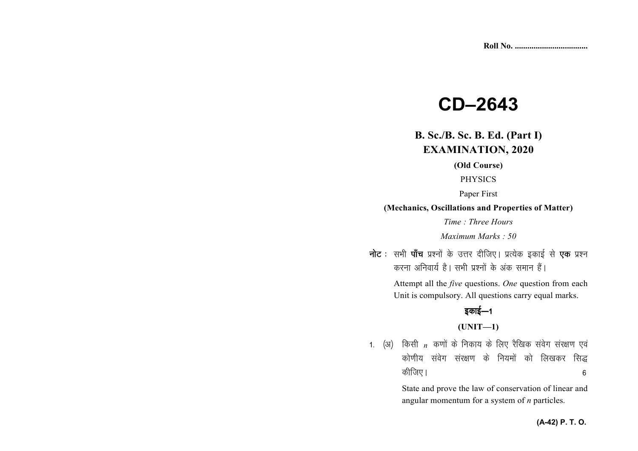# **CD–2643**

# **B. Sc./B. Sc. B. Ed. (Part I) EXAMINATION, 2020**

#### **(Old Course)**

PHYSICS

Paper First

#### **(Mechanics, Oscillations and Properties of Matter)**

*Time : Three Hours* 

*Maximum Marks : 50* 

नोट : सभी पाँच प्रश्नों के उत्तर दीजिए। प्रत्येक इकाई से **एक** प्रश्न करना अनिवार्य है। सभी प्रश्नों के अंक समान हैं।

> Attempt all the *five* questions. *One* question from each Unit is compulsory. All questions carry equal marks.

# इकाई—1

#### **(UNIT—1)**

1. (अ) किसी *n* कणों के निकाय के लिए रैखिक संवेग संरक्षण एवं कोणीय संवेग संरक्षण के नियमों को लिखकर सिद्ध कीजिए ।  $\sim$  6

> State and prove the law of conservation of linear and angular momentum for a system of *n* particles.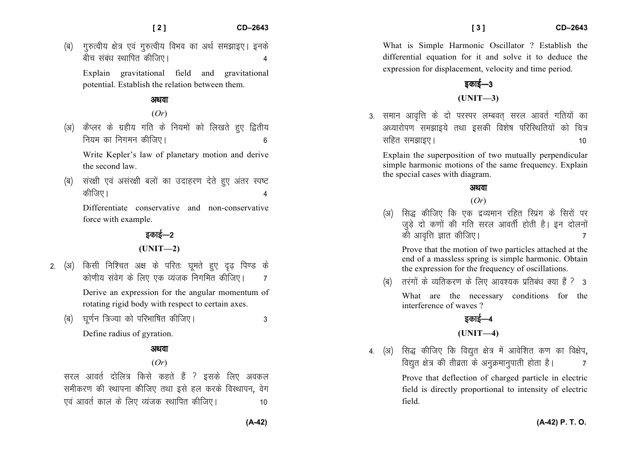(ब) गुरुत्वीय क्षेत्र एवं गुरुत्वीय विभव का अर्थ समझाइए। इनके बीच संबंध स्थापित कीजिए।

Explain gravitational field and gravitational potential. Establish the relation between them.

## अथवा

(*Or*)

(अ) कैप्लर के ग्रहीय गति के नियमों को लिखते हुए द्वितीय नियम का निगमन कीजिए।

Write Kepler's law of planetary motion and derive the second law.

(ब) संरक्षी एवं असंरक्षी बलों का उदाहरण देते हुए अंतर स्पष्ट कीजिए ।  $\overline{A}$ 

Differentiate conservative and non-conservative force with example.

# डकाई—2

**(UNIT—2)** 

- 2. (अ) किसी निश्चित अक्ष के परितः घुमते हुए दृढ पिण्ड के कोणीय संवेग के लिए एक व्यंजक निगमित कीजिए।  $\,$  7 Derive an expression for the angular momentum of rotating rigid body with respect to certain axes.
	- ¼c½ ?kw.kZu f=T;k dks ifjHkkf"kr dhft,A 3 Define radius of gyration.

# अथवा

## (*Or*)

सरल आवर्त दोलित्र किसे कहते हैं ? इसके लिए अवकल समीकरण की स्थापना कीजिए तथा इसे हल करके विस्थापन, वेग ,oa vkorZ dky ds fy, O;atd LFkkfir dhft,A 10

What is Simple Harmonic Oscillator ? Establish the differential equation for it and solve it to deduce the expression for displacement, velocity and time period.

# डकाई— $3$ **(UNIT—3)**

3. समान आवृत्ति के दो परस्पर लम्बवत सरल आवर्त गतियों का अध्यारोपण समझाइये तथा इसकी विशेष परिस्थितियों को चित्र  $\frac{10}{10}$  समझाइए ।

Explain the superposition of two mutually perpendicular simple harmonic motions of the same frequency. Explain the special cases with diagram.

### अथवा

(*Or*)

सिद्ध कीजिए कि एक द्रव्यमान रहित स्प्रिंग के सिरों पर जुड़े दो कणों की गति सरल आवर्ती होती है। इन दोलनों को आवत्ति ज्ञात कीजिए।

Prove that the motion of two particles attached at the end of a massless spring is simple harmonic. Obtainthe expression for the frequency of oscillations.

(ब) तरंगों के व्यतिकरण के लिए आवश्यक प्रतिबंध क्या हैं ? 3

What are the necessary conditions for the interference of waves ?

# डकाई—4

## **(UNIT—4)**

4. (अ) सिद्ध कीजिए कि विद्युत क्षेत्र में आवेशित कण का विक्षेप, विद्युत क्षेत्र की तीव्रता के अनुक्रमानुपाती होता है।  $\,$ 7

> Prove that deflection of charged particle in electric field is directly proportional to intensity of electric field.